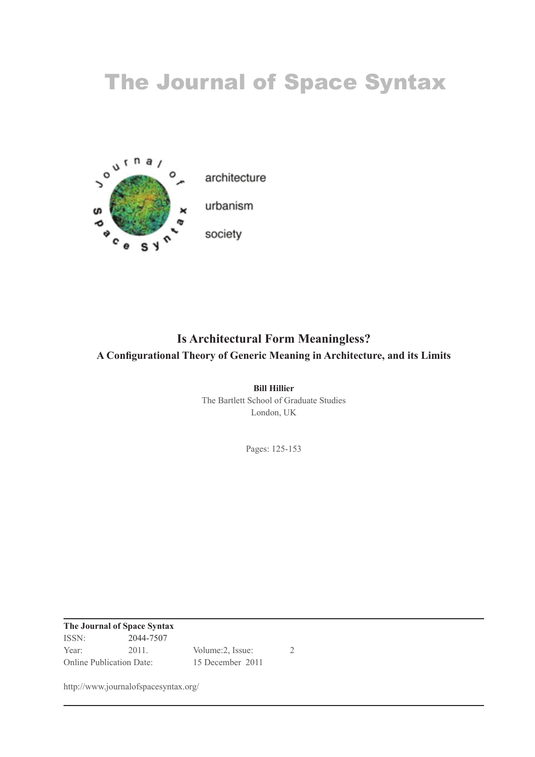# The Journal of Space Syntax



## **Is Architectural Form Meaningless? A Configurational Theory of Generic Meaning in Architecture, and its Limits**

**Bill Hillier** The Bartlett School of Graduate Studies London, UK

Pages: 125-153

**The Journal of Space Syntax** ISSN:  $2044 - 7507$ Year:  $2011.$  Volume: 2, Issue:  $2$ Online Publication Date:  $15$  December 2011

http://www.journalofspacesyntax.org/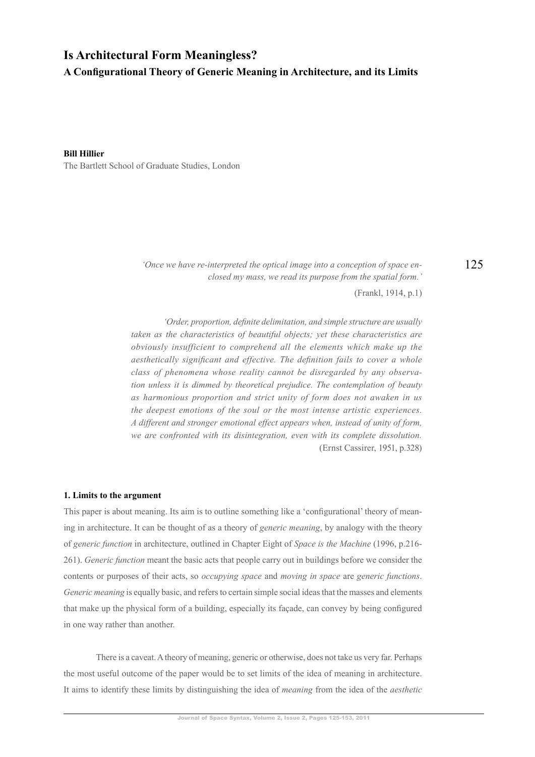## **Is Architectural Form Meaningless?** A Configurational Theory of Generic Meaning in Architecture, and its Limits

**Bill Hillier** The Bartlett School of Graduate Studies, London

> $\dot{\theta}$  *'Once we have re-interpreted the optical image into a conception of space enclosed my mass, we read its purpose from the spatial form.'*

> > $(Frankl, 1914, p.1)$

*'Order, proportion, definite delimitation, and simple structure are usually* taken as the characteristics of beautiful objects; yet these characteristics are *obviously insufficient to comprehend all the elements which make up the desthetically significant and effective. The definition fails to cover a whole class of phenomena whose reality cannot be disregarded by any observation unless it is dimmed by theoretical prejudice. The contemplation of beauty* as harmonious proportion and strict unity of form does not awaken in us *the deepest emotions of the soul or the most intense artistic experiences. A&different&and&stronger&emotional&effect&appears&when,&instead&of&unity&of&form,& we are confronted with its disintegration, even with its complete dissolution.* (Ernst Cassirer, 1951, p.328)

#### **1. Limits to the argument**

This paper is about meaning. Its aim is to outline something like a 'configurational' theory of meaning in architecture. It can be thought of as a theory of *generic meaning*, by analogy with the theory of generic function in architecture, outlined in Chapter Eight of *Space* is the Machine (1996, p.216-261). *Generic function* meant the basic acts that people carry out in buildings before we consider the contents or purposes of their acts, so *occupying space* and *moving in space* are *generic functions*. *Generic meaning* is equally basic, and refers to certain simple social ideas that the masses and elements that make up the physical form of a building, especially its facade, can convey by being configured in one way rather than another.

There is a caveat. A theory of meaning, generic or otherwise, does not take us very far. Perhaps the most useful outcome of the paper would be to set limits of the idea of meaning in architecture. It aims to identify these limits by distinguishing the idea of *meaning* from the idea of the *aesthetic*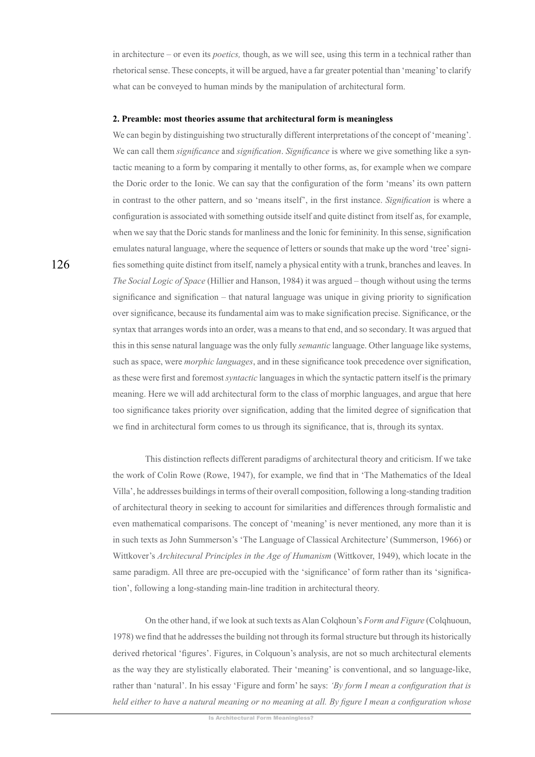in architecture – or even its *poetics*, though, as we will see, using this term in a technical rather than rhetorical sense. These concepts, it will be argued, have a far greater potential than 'meaning' to clarify what can be conveyed to human minds by the manipulation of architectural form.

#### 2. Preamble: most theories assume that architectural form is meaningless

We can begin by distinguishing two structurally different interpretations of the concept of 'meaning'. We can call them *significance* and *signification*. Significance is where we give something like a syntactic meaning to a form by comparing it mentally to other forms, as, for example when we compare the Doric order to the Ionic. We can say that the configuration of the form 'means' its own pattern in contrast to the other pattern, and so 'means itself', in the first instance. Signification is where a configuration is associated with something outside itself and quite distinct from itself as, for example, when we say that the Doric stands for manliness and the Ionic for femininity. In this sense, signification emulates natural language, where the sequence of letters or sounds that make up the word 'tree' signifies something quite distinct from itself, namely a physical entity with a trunk, branches and leaves. In The Social Logic of Space (Hillier and Hanson, 1984) it was argued – though without using the terms significance and signification – that natural language was unique in giving priority to signification over significance, because its fundamental aim was to make signification precise. Significance, or the syntax that arranges words into an order, was a means to that end, and so secondary. It was argued that this in this sense natural language was the only fully *semantic* language. Other language like systems, such as space, were *morphic languages*, and in these significance took precedence over signification, as these were first and foremost *syntactic* languages in which the syntactic pattern itself is the primary meaning. Here we will add architectural form to the class of morphic languages, and argue that here too significance takes priority over signification, adding that the limited degree of signification that we find in architectural form comes to us through its significance, that is, through its syntax.

This distinction reflects different paradigms of architectural theory and criticism. If we take the work of Colin Rowe (Rowe, 1947), for example, we find that in 'The Mathematics of the Ideal Villa', he addresses buildings in terms of their overall composition, following a long-standing tradition of architectural theory in seeking to account for similarities and differences through formalistic and even mathematical comparisons. The concept of 'meaning' is never mentioned, any more than it is in such texts as John Summerson's 'The Language of Classical Architecture' (Summerson, 1966) or Wittkover's Architecural Principles in the Age of Humanism (Wittkover, 1949), which locate in the same paradigm. All three are pre-occupied with the 'significance' of form rather than its 'signification', following a long-standing main-line tradition in architectural theory.

On the other hand, if we look at such texts as Alan Colghoun's Form and Figure (Colghuoun, 1978) we find that he addresses the building not through its formal structure but through its historically derived rhetorical 'figures'. Figures, in Colquoun's analysis, are not so much architectural elements as the way they are stylistically elaborated. Their 'meaning' is conventional, and so language-like, rather than 'natural'. In his essay 'Figure and form' he says: 'By form I mean a configuration that is held either to have a natural meaning or no meaning at all. By figure I mean a configuration whose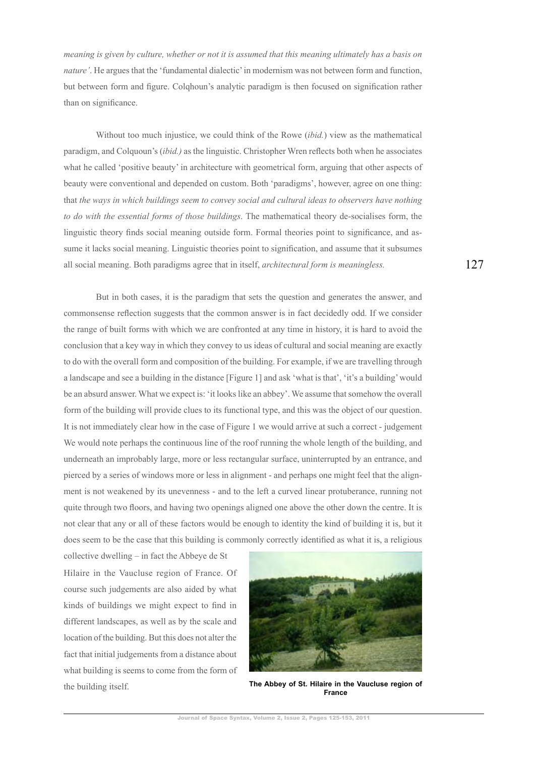*meaning is given by culture, whether or not it is assumed that this meaning ultimately has a basis on nature'*. He argues that the 'fundamental dialectic' in modernism was not between form and function, but between form and figure. Colghoun's analytic paradigm is then focused on signification rather than on significance.

Without too much injustice, we could think of the Rowe *(ibid.)* yiew as the mathematical paradigm, and Colquoun's (*ibid.*) as the linguistic. Christopher Wren reflects both when he associates what he called 'positive beauty' in architecture with geometrical form, arguing that other aspects of beauty were conventional and depended on custom. Both 'paradigms', however, agree on one thing: that *the ways in which buildings seem to convey social and cultural ideas to observers have nothing to do with the essential forms of those buildings*. The mathematical theory de-socialises form, the linguistic theory finds social meaning outside form. Formal theories point to significance, and assume it lacks social meaning. Linguistic theories point to signification, and assume that it subsumes all social meaning. Both paradigms agree that in itself, *architectural form is meaningless.* 

But in both cases, it is the paradigm that sets the question and generates the answer, and commonsense reflection suggests that the common answer is in fact decidedly odd. If we consider the range of built forms with which we are confronted at any time in history, it is hard to avoid the conclusion that a key way in which they convey to us ideas of cultural and social meaning are exactly to do with the overall form and composition of the building. For example, if we are travelling through a landscape and see a building in the distance [Figure 1] and ask 'what is that', 'it's a building' would be an absurd answer. What we expect is: 'it looks like an abbey'. We assume that somehow the overall form of the building will provide clues to its functional type, and this was the object of our question. It is not immediately clear how in the case of Figure 1 we would arrive at such a correct - judgement We would note perhaps the continuous line of the roof running the whole length of the building, and underneath an improbably large, more or less rectangular surface, uninterrupted by an entrance, and pierced by a series of windows more or less in alignment - and perhaps one might feel that the alignment is not weakened by its unevenness - and to the left a curved linear protuberance, running not quite through two floors, and having two openings aligned one above the other down the centre. It is not clear that any or all of these factors would be enough to identity the kind of building it is, but it does seem to be the case that this building is commonly correctly identified as what it is, a religious

collective dwelling  $-$  in fact the Abbeye de St Hilaire in the Vaucluse region of France. Of course such judgements are also aided by what kinds of buildings we might expect to find in different landscapes, as well as by the scale and location of the building. But this does not alter the fact that initial judgements from a distance about what building is seems to come from the form of the building itself.



The Abbey of St. Hilaire in the Vaucluse region of **France\$**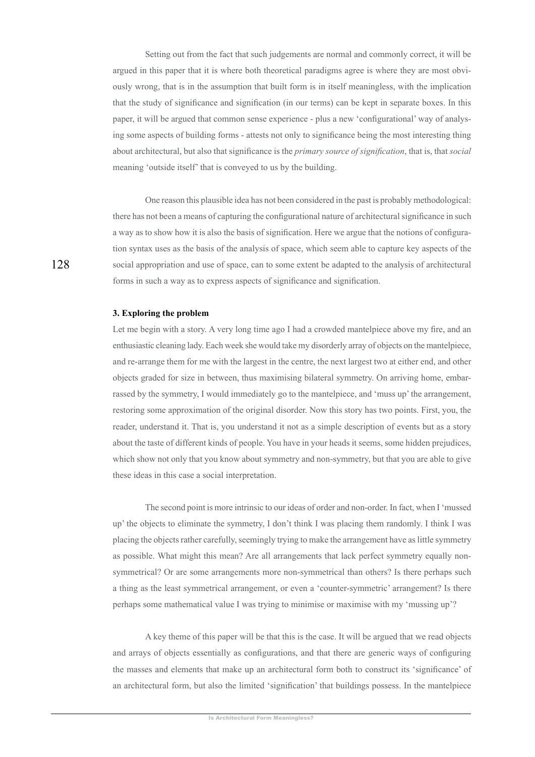Setting out from the fact that such judgements are normal and commonly correct, it will be argued in this paper that it is where both theoretical paradigms agree is where they are most obviously wrong, that is in the assumption that built form is in itself meaningless, with the implication that the study of significance and signification (in our terms) can be kept in separate boxes. In this paper, it will be argued that common sense experience - plus a new 'configurational' way of analysing some aspects of building forms - attests not only to significance being the most interesting thing about architectural, but also that significance is the *primary source of signification*, that is, that *social* meaning 'outside itself' that is conveyed to us by the building.

One reason this plausible idea has not been considered in the past is probably methodological: there has not been a means of capturing the configurational nature of architectural significance in such a way as to show how it is also the basis of signification. Here we argue that the notions of configuration syntax uses as the basis of the analysis of space, which seem able to capture key aspects of the social appropriation and use of space, can to some extent be adapted to the analysis of architectural forms in such a way as to express aspects of significance and signification.

#### 3. Exploring the problem

Let me begin with a story. A very long time ago I had a crowded mantelpiece above my fire, and an enthusiastic cleaning lady. Each week she would take my disorderly array of objects on the mantelpiece, and re-arrange them for me with the largest in the centre, the next largest two at either end, and other objects graded for size in between, thus maximising bilateral symmetry. On arriving home, embarrassed by the symmetry, I would immediately go to the mantelpiece, and 'muss up' the arrangement, restoring some approximation of the original disorder. Now this story has two points. First, you, the reader, understand it. That is, you understand it not as a simple description of events but as a story about the taste of different kinds of people. You have in your heads it seems, some hidden prejudices, which show not only that you know about symmetry and non-symmetry, but that you are able to give these ideas in this case a social interpretation.

The second point is more intrinsic to our ideas of order and non-order. In fact, when I 'mussed up' the objects to eliminate the symmetry, I don't think I was placing them randomly. I think I was placing the objects rather carefully, seemingly trying to make the arrangement have as little symmetry as possible. What might this mean? Are all arrangements that lack perfect symmetry equally nonsymmetrical? Or are some arrangements more non-symmetrical than others? Is there perhaps such a thing as the least symmetrical arrangement, or even a 'counter-symmetric' arrangement? Is there perhaps some mathematical value I was trying to minimise or maximise with my 'mussing up'?

A key theme of this paper will be that this is the case. It will be argued that we read objects and arrays of objects essentially as configurations, and that there are generic ways of configuring the masses and elements that make up an architectural form both to construct its 'significance' of an architectural form, but also the limited 'signification' that buildings possess. In the mantelpiece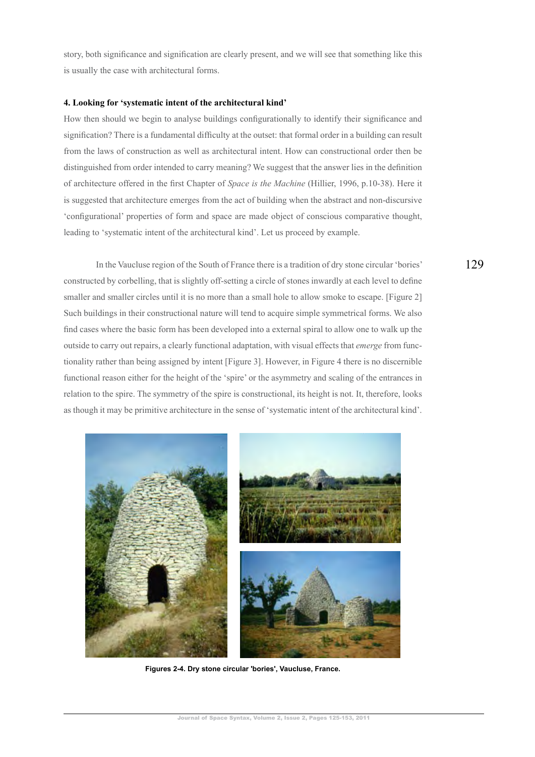story, both significance and signification are clearly present, and we will see that something like this is usually the case with architectural forms.

#### 4. Looking for 'systematic intent of the architectural kind'

How then should we begin to analyse buildings configurationally to identify their significance and signification? There is a fundamental difficulty at the outset: that formal order in a building can result from the laws of construction as well as architectural intent. How can constructional order then be distinguished from order intended to carry meaning? We suggest that the answer lies in the definition of architecture offered in the first Chapter of *Space is the Machine* (Hillier, 1996, p.10-38). Here it is suggested that architecture emerges from the act of building when the abstract and non-discursive 'configurational' properties of form and space are made object of conscious comparative thought, leading to 'systematic intent of the architectural kind'. Let us proceed by example.

In the Vaucluse region of the South of France there is a tradition of dry stone circular 'bories' constructed by corbelling, that is slightly off-setting a circle of stones inwardly at each level to define smaller and smaller circles until it is no more than a small hole to allow smoke to escape. [Figure 2] Such buildings in their constructional nature will tend to acquire simple symmetrical forms. We also find cases where the basic form has been developed into a external spiral to allow one to walk up the outside to carry out repairs, a clearly functional adaptation, with visual effects that *emerge* from functionality rather than being assigned by intent [Figure 3]. However, in Figure 4 there is no discernible functional reason either for the height of the 'spire' or the asymmetry and scaling of the entrances in relation to the spire. The symmetry of the spire is constructional, its height is not. It, therefore, looks as though it may be primitive architecture in the sense of 'systematic intent of the architectural kind'.



Figures 2-4. Dry stone circular 'bories', Vaucluse, France.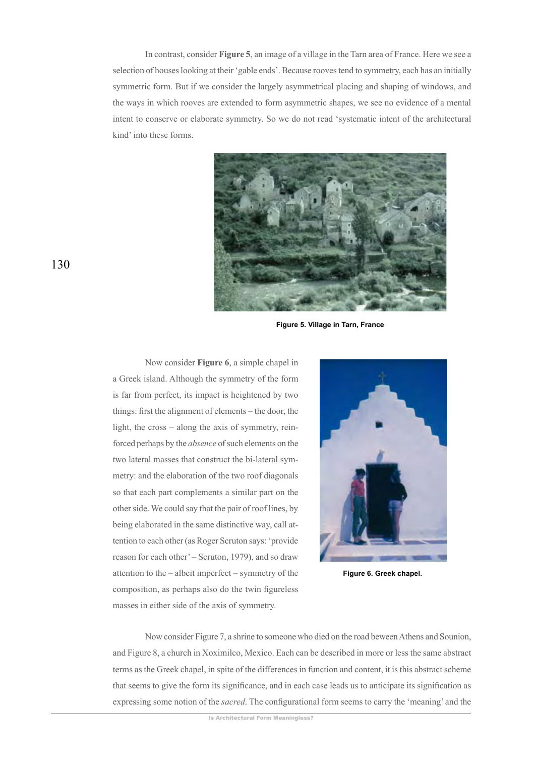In contrast, consider **Figure 5**, an image of a village in the Tarn area of France. Here we see a selection of houses looking at their 'gable ends'. Because rooves tend to symmetry, each has an initially symmetric form. But if we consider the largely asymmetrical placing and shaping of windows, and the ways in which rooves are extended to form asymmetric shapes, we see no evidence of a mental intent to conserve or elaborate symmetry. So we do not read 'systematic intent of the architectural kind' into these forms.



**Figure 5. Village in Tarn, France** 

Now consider **Figure 6**, a simple chapel in a Greek island. Although the symmetry of the form is far from perfect, its impact is heightened by two things: first the alignment of elements – the door, the light, the cross  $-$  along the axis of symmetry, reinforced perhaps by the *absence* of such elements on the two lateral masses that construct the bi-lateral symmetry: and the elaboration of the two roof diagonals so that each part complements a similar part on the other side. We could say that the pair of roof lines, by being elaborated in the same distinctive way, call attention to each other (as Roger Scruton says: 'provide reason for each other' – Scruton, 1979), and so draw attention to the  $-$  albeit imperfect  $-$  symmetry of the composition, as perhaps also do the twin figureless masses in either side of the axis of symmetry.



Figure 6. Greek chapel.

Now consider Figure 7, a shrine to someone who died on the road beween Athens and Sounion, and Figure 8, a church in Xoximilco, Mexico. Each can be described in more or less the same abstract terms as the Greek chapel, in spite of the differences in function and content, it is this abstract scheme that seems to give the form its significance, and in each case leads us to anticipate its signification as expressing some notion of the *sacred*. The configurational form seems to carry the 'meaning' and the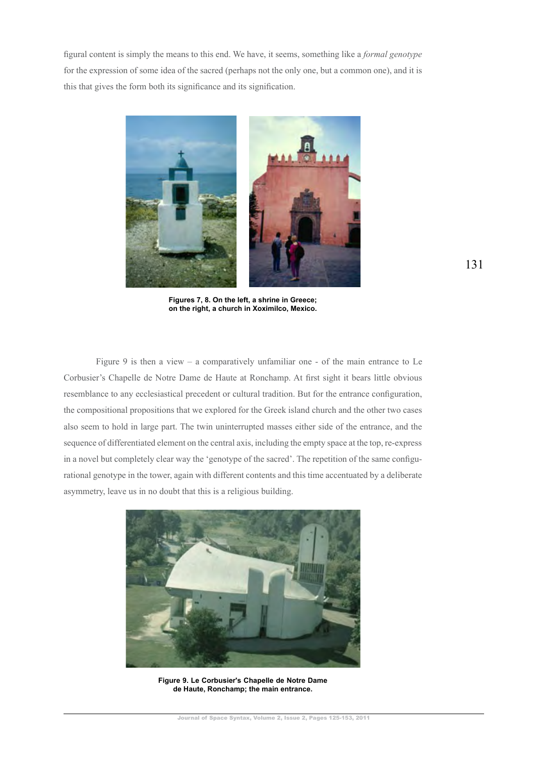figural content is simply the means to this end. We have, it seems, something like a formal genotype for the expression of some idea of the sacred (perhaps not the only one, but a common one), and it is this that gives the form both its significance and its signification.



Figures 7, 8. On the left, a shrine in Greece; on the right, a church in Xoximilco, Mexico.

Figure 9 is then a view  $-$  a comparatively unfamiliar one  $-$  of the main entrance to Le Corbusier's Chapelle de Notre Dame de Haute at Ronchamp. At first sight it bears little obvious resemblance to any ecclesiastical precedent or cultural tradition. But for the entrance configuration, the compositional propositions that we explored for the Greek island church and the other two cases also seem to hold in large part. The twin uninterrupted masses either side of the entrance, and the sequence of differentiated element on the central axis, including the empty space at the top, re-express in a novel but completely clear way the 'genotype of the sacred'. The repetition of the same configurational genotype in the tower, again with different contents and this time accentuated by a deliberate asymmetry, leave us in no doubt that this is a religious building.



Figure 9. Le Corbusier's Chapelle de Notre Dame de Haute, Ronchamp; the main entrance.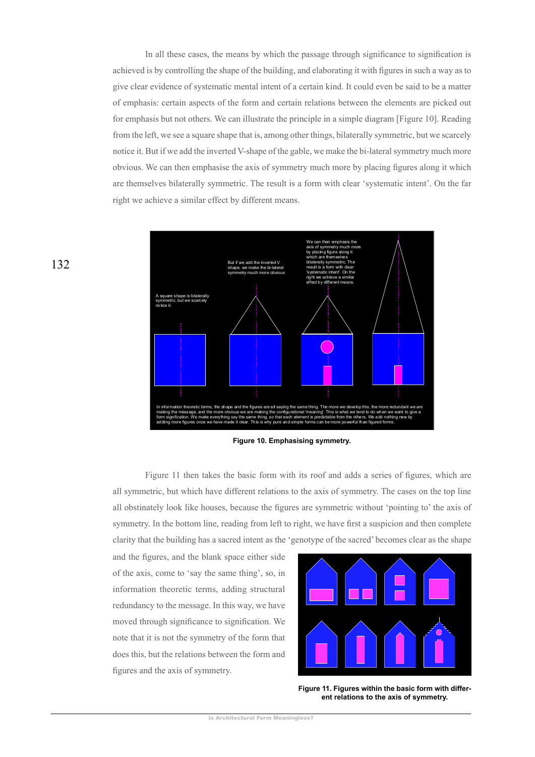In all these cases, the means by which the passage through significance to signification is achieved is by controlling the shape of the building, and elaborating it with figures in such a way as to give clear evidence of systematic mental intent of a certain kind. It could even be said to be a matter of emphasis: certain aspects of the form and certain relations between the elements are picked out for emphasis but not others. We can illustrate the principle in a simple diagram [Figure 10]. Reading from the left, we see a square shape that is, among other things, bilaterally symmetric, but we scarcely notice it. But if we add the inverted V-shape of the gable, we make the bi-lateral symmetry much more obvious. We can then emphasise the axis of symmetry much more by placing figures along it which are themselves bilaterally symmetric. The result is a form with clear 'systematic intent'. On the far right we achieve a similar effect by different means.





Figure 11 then takes the basic form with its roof and adds a series of figures, which are all symmetric, but which have different relations to the axis of symmetry. The cases on the top line all obstinately look like houses, because the figures are symmetric without 'pointing to' the axis of symmetry. In the bottom line, reading from left to right, we have first a suspicion and then complete clarity that the building has a sacred intent as the 'genotype of the sacred' becomes clear as the shape

and the figures, and the blank space either side of the axis, come to 'say the same thing', so, in information theoretic terms, adding structural redundancy to the message. In this way, we have moved through significance to signification. We note that it is not the symmetry of the form that does this, but the relations between the form and figures and the axis of symmetry.



Figure 11. Figures within the basic form with different relations to the axis of symmetry.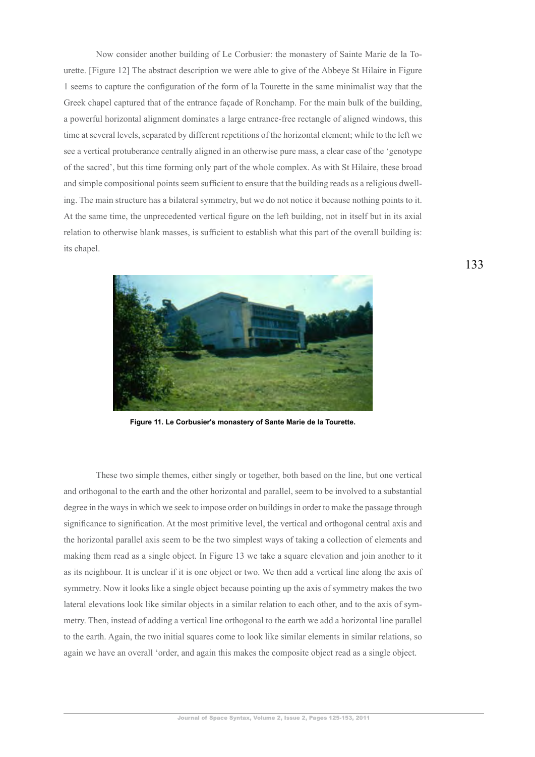Now consider another building of Le Corbusier: the monastery of Sainte Marie de la Tourette. [Figure 12] The abstract description we were able to give of the Abbeye St Hilaire in Figure 1 seems to capture the configuration of the form of la Tourette in the same minimalist way that the Greek chapel captured that of the entrance façade of Ronchamp. For the main bulk of the building, a powerful horizontal alignment dominates a large entrance-free rectangle of aligned windows, this time at several levels, separated by different repetitions of the horizontal element; while to the left we see a vertical protuberance centrally aligned in an otherwise pure mass, a clear case of the 'genotype of the sacred', but this time forming only part of the whole complex. As with St Hilaire, these broad and simple compositional points seem sufficient to ensure that the building reads as a religious dwelling. The main structure has a bilateral symmetry, but we do not notice it because nothing points to it. At the same time, the unprecedented vertical figure on the left building, not in itself but in its axial relation to otherwise blank masses, is sufficient to establish what this part of the overall building is: its chapel.



Figure 11. Le Corbusier's monastery of Sante Marie de la Tourette.

These two simple themes, either singly or together, both based on the line, but one vertical and orthogonal to the earth and the other horizontal and parallel, seem to be involved to a substantial degree in the ways in which we seek to impose order on buildings in order to make the passage through significance to signification. At the most primitive level, the vertical and orthogonal central axis and the horizontal parallel axis seem to be the two simplest ways of taking a collection of elements and making them read as a single object. In Figure 13 we take a square elevation and join another to it as its neighbour. It is unclear if it is one object or two. We then add a vertical line along the axis of symmetry. Now it looks like a single object because pointing up the axis of symmetry makes the two lateral elevations look like similar objects in a similar relation to each other, and to the axis of symmetry. Then, instead of adding a vertical line orthogonal to the earth we add a horizontal line parallel to the earth. Again, the two initial squares come to look like similar elements in similar relations, so again we have an overall 'order, and again this makes the composite object read as a single object.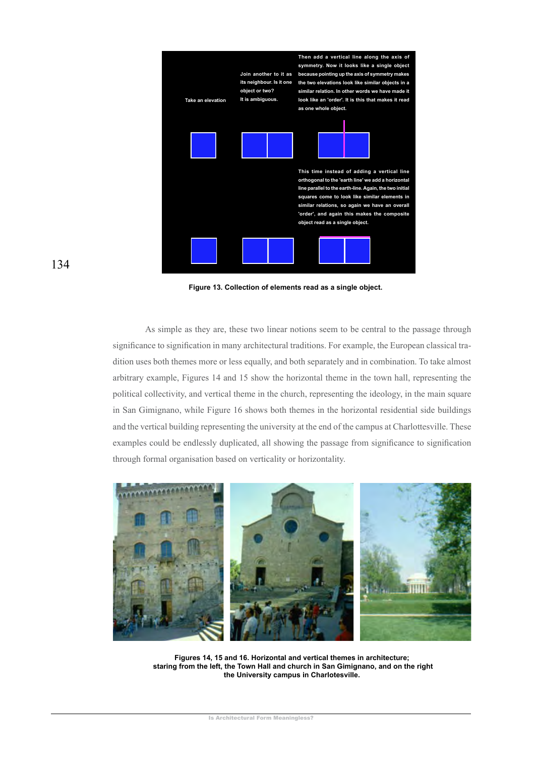

Figure 13. Collection of elements read as a single object.

As simple as they are, these two linear notions seem to be central to the passage through significance to signification in many architectural traditions. For example, the European classical tradition uses both themes more or less equally, and both separately and in combination. To take almost arbitrary example, Figures 14 and 15 show the horizontal theme in the town hall, representing the political collectivity, and vertical theme in the church, representing the ideology, in the main square in San Gimignano, while Figure 16 shows both themes in the horizontal residential side buildings and the vertical building representing the university at the end of the campus at Charlottesville. These examples could be endlessly duplicated, all showing the passage from significance to signification through formal organisation based on verticality or horizontality.



Figures 14, 15 and 16. Horizontal and vertical themes in architecture; staring from the left, the Town Hall and church in San Gimignano, and on the right the University campus in Charlotesville.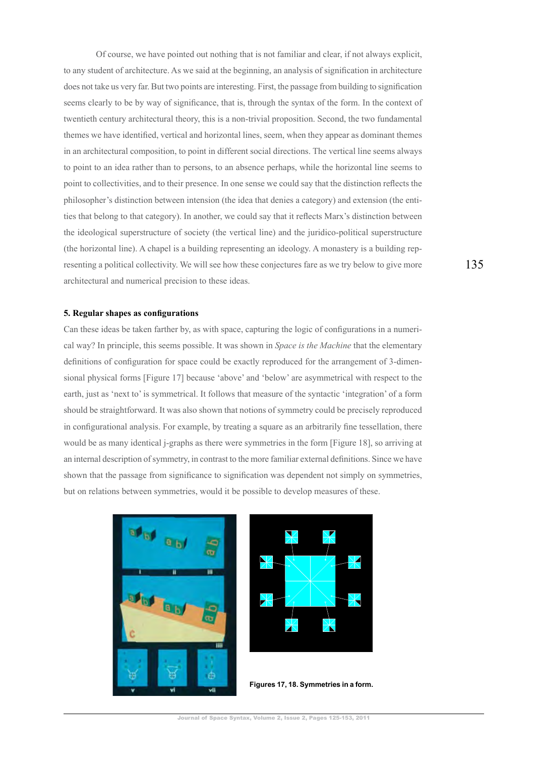Of course, we have pointed out nothing that is not familiar and clear, if not always explicit, to any student of architecture. As we said at the beginning, an analysis of signification in architecture does not take us very far. But two points are interesting. First, the passage from building to signification seems clearly to be by way of significance, that is, through the syntax of the form. In the context of twentieth century architectural theory, this is a non-trivial proposition. Second, the two fundamental themes we have identified, vertical and horizontal lines, seem, when they appear as dominant themes in an architectural composition, to point in different social directions. The vertical line seems always to point to an idea rather than to persons, to an absence perhaps, while the horizontal line seems to point to collectivities, and to their presence. In one sense we could say that the distinction reflects the philosopher's distinction between intension (the idea that denies a category) and extension (the entities that belong to that category). In another, we could say that it reflects Marx's distinction between the ideological superstructure of society (the vertical line) and the juridico-political superstructure (the horizontal line). A chapel is a building representing an ideology. A monastery is a building representing a political collectivity. We will see how these conjectures fare as we try below to give more architectural and numerical precision to these ideas.

#### 5. Regular shapes as configurations

Can these ideas be taken farther by, as with space, capturing the logic of configurations in a numerical way? In principle, this seems possible. It was shown in *Space is the Machine* that the elementary definitions of configuration for space could be exactly reproduced for the arrangement of 3-dimensional physical forms [Figure 17] because 'above' and 'below' are asymmetrical with respect to the earth, just as 'next to' is symmetrical. It follows that measure of the syntactic 'integration' of a form should be straightforward. It was also shown that notions of symmetry could be precisely reproduced in configurational analysis. For example, by treating a square as an arbitrarily fine tessellation, there would be as many identical j-graphs as there were symmetries in the form [Figure 18], so arriving at an internal description of symmetry, in contrast to the more familiar external definitions. Since we have shown that the passage from significance to signification was dependent not simply on symmetries, but on relations between symmetries, would it be possible to develop measures of these.





Figures 17, 18. Symmetries in a form.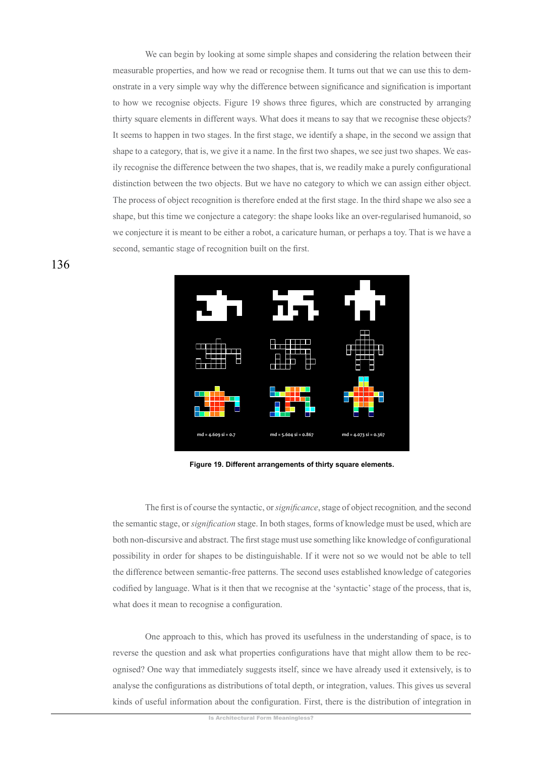We can begin by looking at some simple shapes and considering the relation between their measurable properties, and how we read or recognise them. It turns out that we can use this to demonstrate in a very simple way why the difference between significance and signification is important to how we recognise objects. Figure 19 shows three figures, which are constructed by arranging thirty square elements in different ways. What does it means to say that we recognise these objects? It seems to happen in two stages. In the first stage, we identify a shape, in the second we assign that shape to a category, that is, we give it a name. In the first two shapes, we see just two shapes. We easily recognise the difference between the two shapes, that is, we readily make a purely configurational distinction between the two objects. But we have no category to which we can assign either object. The process of object recognition is therefore ended at the first stage. In the third shape we also see a shape, but this time we conjecture a category: the shape looks like an over-regularised humanoid, so we conjecture it is meant to be either a robot, a caricature human, or perhaps a toy. That is we have a second, semantic stage of recognition built on the first.



Figure 19. Different arrangements of thirty square elements.

The first is of course the syntactic, or *significance*, stage of object recognition, and the second the semantic stage, or *signification* stage. In both stages, forms of knowledge must be used, which are both non-discursive and abstract. The first stage must use something like knowledge of configurational possibility in order for shapes to be distinguishable. If it were not so we would not be able to tell the difference between semantic-free patterns. The second uses established knowledge of categories codified by language. What is it then that we recognise at the 'syntactic' stage of the process, that is, what does it mean to recognise a configuration.

One approach to this, which has proved its usefulness in the understanding of space, is to reverse the question and ask what properties configurations have that might allow them to be recognised? One way that immediately suggests itself, since we have already used it extensively, is to analyse the configurations as distributions of total depth, or integration, values. This gives us several kinds of useful information about the configuration. First, there is the distribution of integration in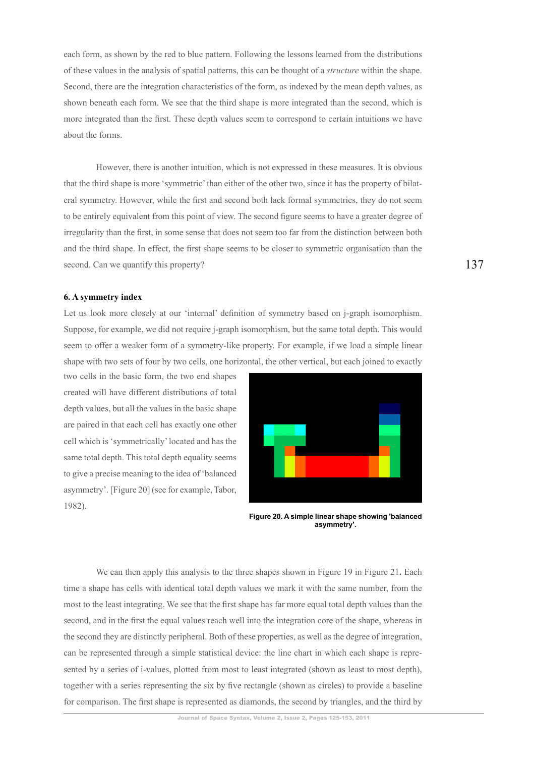each form, as shown by the red to blue pattern. Following the lessons learned from the distributions of these values in the analysis of spatial patterns, this can be thought of a *structure* within the shape. Second, there are the integration characteristics of the form, as indexed by the mean depth values, as shown beneath each form. We see that the third shape is more integrated than the second, which is more integrated than the first. These depth values seem to correspond to certain intuitions we have about the forms

However, there is another intuition, which is not expressed in these measures. It is obvious that the third shape is more 'symmetric' than either of the other two, since it has the property of bilateral symmetry. However, while the first and second both lack formal symmetries, they do not seem to be entirely equivalent from this point of view. The second figure seems to have a greater degree of irregularity than the first, in some sense that does not seem too far from the distinction between both and the third shape. In effect, the first shape seems to be closer to symmetric organisation than the second. Can we quantify this property?

#### 6. A symmetry index

Let us look more closely at our 'internal' definition of symmetry based on j-graph isomorphism. Suppose, for example, we did not require j-graph isomorphism, but the same total depth. This would seem to offer a weaker form of a symmetry-like property. For example, if we load a simple linear shape with two sets of four by two cells, one horizontal, the other vertical, but each joined to exactly

two cells in the basic form, the two end shapes created will have different distributions of total depth values, but all the values in the basic shape are paired in that each cell has exactly one other cell which is 'symmetrically' located and has the same total depth. This total depth equality seems to give a precise meaning to the idea of 'balanced asymmetry'. [Figure 20] (see for example, Tabor, 1982).



Figure 20. A simple linear shape showing 'balanced asymmetry'.

We can then apply this analysis to the three shapes shown in Figure 19 in Figure 21. Each time a shape has cells with identical total depth values we mark it with the same number, from the most to the least integrating. We see that the first shape has far more equal total depth values than the second, and in the first the equal values reach well into the integration core of the shape, whereas in the second they are distinctly peripheral. Both of these properties, as well as the degree of integration, can be represented through a simple statistical device: the line chart in which each shape is represented by a series of i-values, plotted from most to least integrated (shown as least to most depth). together with a series representing the six by five rectangle (shown as circles) to provide a baseline for comparison. The first shape is represented as diamonds, the second by triangles, and the third by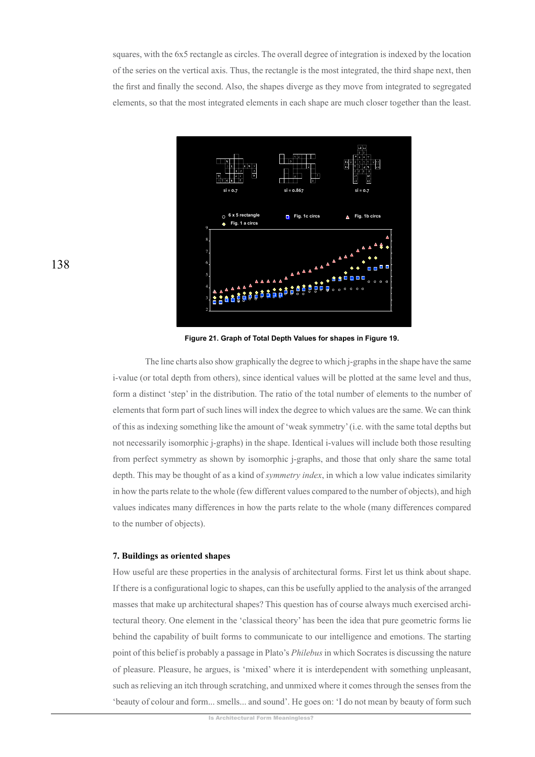squares, with the 6x5 rectangle as circles. The overall degree of integration is indexed by the location of the series on the vertical axis. Thus, the rectangle is the most integrated, the third shape next, then the first and finally the second. Also, the shapes diverge as they move from integrated to segregated elements, so that the most integrated elements in each shape are much closer together than the least.



Figure 21. Graph of Total Depth Values for shapes in Figure 19.

The line charts also show graphically the degree to which j-graphs in the shape have the same i-value (or total depth from others), since identical values will be plotted at the same level and thus, form a distinct 'step' in the distribution. The ratio of the total number of elements to the number of elements that form part of such lines will index the degree to which values are the same. We can think of this as indexing something like the amount of 'weak symmetry' (i.e. with the same total depths but not necessarily isomorphic *j*-graphs) in the shape. Identical *j*-values will include both those resulting from perfect symmetry as shown by isomorphic *j*-graphs, and those that only share the same total depth. This may be thought of as a kind of *symmetry index*, in which a low value indicates similarity in how the parts relate to the whole (few different values compared to the number of objects), and high values indicates many differences in how the parts relate to the whole (many differences compared to the number of objects).

#### 7. Buildings as oriented shapes

How useful are these properties in the analysis of architectural forms. First let us think about shape. If there is a configurational logic to shapes, can this be usefully applied to the analysis of the arranged masses that make up architectural shapes? This question has of course always much exercised architectural theory. One element in the 'classical theory' has been the idea that pure geometric forms lie behind the capability of built forms to communicate to our intelligence and emotions. The starting point of this belief is probably a passage in Plato's *Philebus* in which Socrates is discussing the nature of pleasure. Pleasure, he argues, is 'mixed' where it is interdependent with something unpleasant, such as relieving an itch through scratching, and unmixed where it comes through the senses from the 'beauty of colour and form... smells... and sound'. He goes on: 'I do not mean by beauty of form such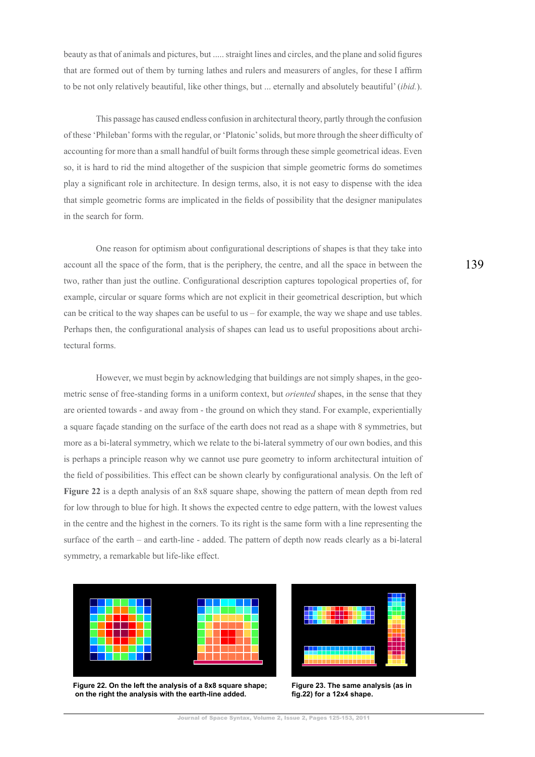beauty as that of animals and pictures, but ..... straight lines and circles, and the plane and solid figures that are formed out of them by turning lathes and rulers and measurers of angles, for these I affirm to be not only relatively beautiful, like other things, but ... eternally and absolutely beautiful' (ibid.).

This passage has caused endless confusion in architectural theory, partly through the confusion of these 'Phileban' forms with the regular, or 'Platonic' solids, but more through the sheer difficulty of accounting for more than a small handful of built forms through these simple geometrical ideas. Even so, it is hard to rid the mind altogether of the suspicion that simple geometric forms do sometimes play a significant role in architecture. In design terms, also, it is not easy to dispense with the idea that simple geometric forms are implicated in the fields of possibility that the designer manipulates in the search for form.

One reason for optimism about configurational descriptions of shapes is that they take into account all the space of the form, that is the periphery, the centre, and all the space in between the two, rather than just the outline. Configurational description captures topological properties of, for example, circular or square forms which are not explicit in their geometrical description, but which can be critical to the way shapes can be useful to us  $-$  for example, the way we shape and use tables. Perhaps then, the configurational analysis of shapes can lead us to useful propositions about architectural forms.

However, we must begin by acknowledging that buildings are not simply shapes, in the geometric sense of free-standing forms in a uniform context, but *oriented* shapes, in the sense that they are oriented towards - and away from - the ground on which they stand. For example, experientially a square façade standing on the surface of the earth does not read as a shape with 8 symmetries, but more as a bi-lateral symmetry, which we relate to the bi-lateral symmetry of our own bodies, and this is perhaps a principle reason why we cannot use pure geometry to inform architectural intuition of the field of possibilities. This effect can be shown clearly by configurational analysis. On the left of **Figure 22** is a depth analysis of an 8x8 square shape, showing the pattern of mean depth from red for low through to blue for high. It shows the expected centre to edge pattern, with the lowest values in the centre and the highest in the corners. To its right is the same form with a line representing the surface of the earth – and earth-line - added. The pattern of depth now reads clearly as a bi-lateral symmetry, a remarkable but life-like effect.



Figure 22. On the left the analysis of a 8x8 square shape; on the right the analysis with the earth-line added.



**Figure 23. The same analysis (as in** fig.22) for a 12x4 shape.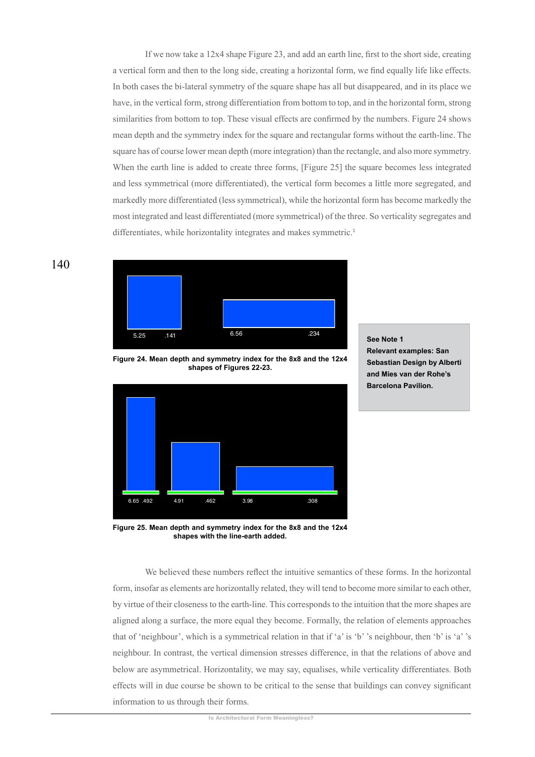If we now take a 12x4 shape Figure 23, and add an earth line, first to the short side, creating a vertical form and then to the long side, creating a horizontal form, we find equally life like effects. In both cases the bi-lateral symmetry of the square shape has all but disappeared, and in its place we have, in the vertical form, strong differentiation from bottom to top, and in the horizontal form, strong similarities from bottom to top. These visual effects are confirmed by the numbers. Figure 24 shows mean depth and the symmetry index for the square and rectangular forms without the earth-line. The square has of course lower mean depth (more integration) than the rectangle, and also more symmetry. When the earth line is added to create three forms, [Figure 25] the square becomes less integrated and less symmetrical (more differentiated), the vertical form becomes a little more segregated, and markedly more differentiated (less symmetrical), while the horizontal form has become markedly the most integrated and least differentiated (more symmetrical) of the three. So verticality segregates and differentiates, while horizontality integrates and makes symmetric.<sup>1</sup>



Figure 24. Mean depth and symmetry index for the 8x8 and the 12x4 shapes of Figures 22-23.



**See Note 1 Relevant examples: San Sebastian Design by Alberti** and Mies van der Rohe's **Barcelona Pavilion.** 

Figure 25. Mean depth and symmetry index for the 8x8 and the 12x4 shapes with the line-earth added.

We believed these numbers reflect the intuitive semantics of these forms. In the horizontal form, insofar as elements are horizontally related, they will tend to become more similar to each other. by virtue of their closeness to the earth-line. This corresponds to the intuition that the more shapes are aligned along a surface, the more equal they become. Formally, the relation of elements approaches that of 'neighbour', which is a symmetrical relation in that if 'a' is 'b' 's neighbour, then 'b' is 'a' 's neighbour. In contrast, the vertical dimension stresses difference, in that the relations of above and below are asymmetrical. Horizontality, we may say, equalises, while verticality differentiates. Both effects will in due course be shown to be critical to the sense that buildings can convey significant information to us through their forms.

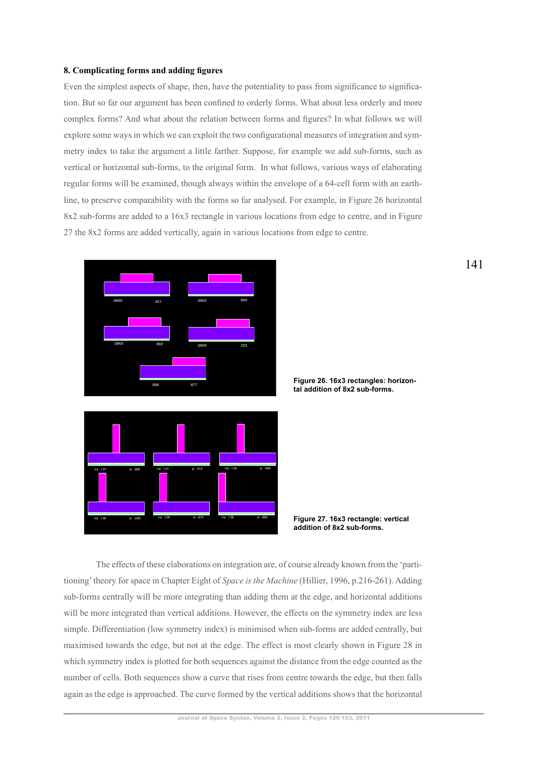#### 8. Complicating forms and adding figures

Even the simplest aspects of shape, then, have the potentiality to pass from significance to signification. But so far our argument has been confined to orderly forms. What about less orderly and more complex forms? And what about the relation between forms and figures? In what follows we will explore some ways in which we can exploit the two configurational measures of integration and symmetry index to take the argument a little farther. Suppose, for example we add sub-forms, such as vertical or horizontal sub-forms, to the original form. In what follows, various ways of elaborating regular forms will be examined, though always within the envelope of a 64-cell form with an earthline, to preserve comparability with the forms so far analysed. For example, in Figure 26 horizontal 8x2 sub-forms are added to a 16x3 rectangle in various locations from edge to centre, and in Figure 27 the 8x2 forms are added vertically, again in various locations from edge to centre.



Figure 26. 16x3 rectangles: horizontal addition of 8x2 sub-forms.

Figure 27. 16x3 rectangle: vertical addition of 8x2 sub-forms.

The effects of these elaborations on integration are, of course already known from the 'partitioning' theory for space in Chapter Eight of Space is the Machine (Hillier, 1996, p.216-261). Adding sub-forms centrally will be more integrating than adding them at the edge, and horizontal additions will be more integrated than vertical additions. However, the effects on the symmetry index are less simple. Differentiation (low symmetry index) is minimised when sub-forms are added centrally, but maximised towards the edge, but not at the edge. The effect is most clearly shown in Figure 28 in which symmetry index is plotted for both sequences against the distance from the edge counted as the number of cells. Both sequences show a curve that rises from centre towards the edge, but then falls again as the edge is approached. The curve formed by the vertical additions shows that the horizontal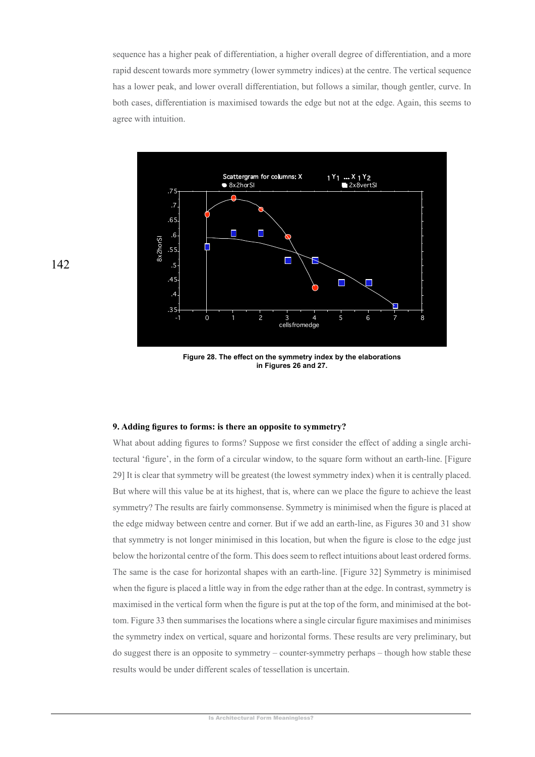sequence has a higher peak of differentiation, a higher overall degree of differentiation, and a more rapid descent towards more symmetry (lower symmetry indices) at the centre. The vertical sequence has a lower peak, and lower overall differentiation, but follows a similar, though gentler, curve. In both cases, differentiation is maximised towards the edge but not at the edge. Again, this seems to agree with intuition.



Figure 28. The effect on the symmetry index by the elaborations in Figures 26 and 27.

#### 9. Adding figures to forms: is there an opposite to symmetry?

What about adding figures to forms? Suppose we first consider the effect of adding a single architectural 'figure', in the form of a circular window, to the square form without an earth-line. [Figure 29] It is clear that symmetry will be greatest (the lowest symmetry index) when it is centrally placed. But where will this value be at its highest, that is, where can we place the figure to achieve the least symmetry? The results are fairly commonsense. Symmetry is minimised when the figure is placed at the edge midway between centre and corner. But if we add an earth-line, as Figures 30 and 31 show that symmetry is not longer minimised in this location, but when the figure is close to the edge just below the horizontal centre of the form. This does seem to reflect intuitions about least ordered forms. The same is the case for horizontal shapes with an earth-line. [Figure 32] Symmetry is minimised when the figure is placed a little way in from the edge rather than at the edge. In contrast, symmetry is maximised in the vertical form when the figure is put at the top of the form, and minimised at the bottom. Figure 33 then summarises the locations where a single circular figure maximises and minimises the symmetry index on vertical, square and horizontal forms. These results are very preliminary, but do suggest there is an opposite to symmetry – counter-symmetry perhaps – though how stable these results would be under different scales of tessellation is uncertain.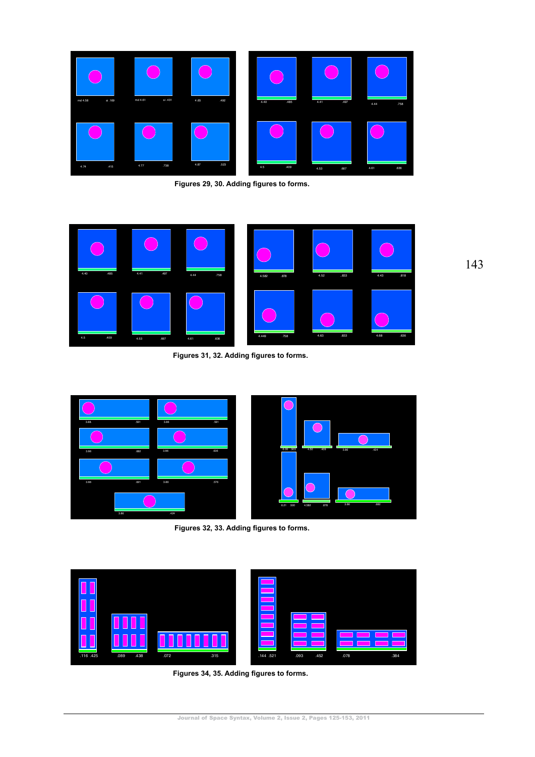

Figures 29, 30. Adding figures to forms.



Figures 31, 32. Adding figures to forms.



Figures 32, 33. Adding figures to forms.



Figures 34, 35. Adding figures to forms.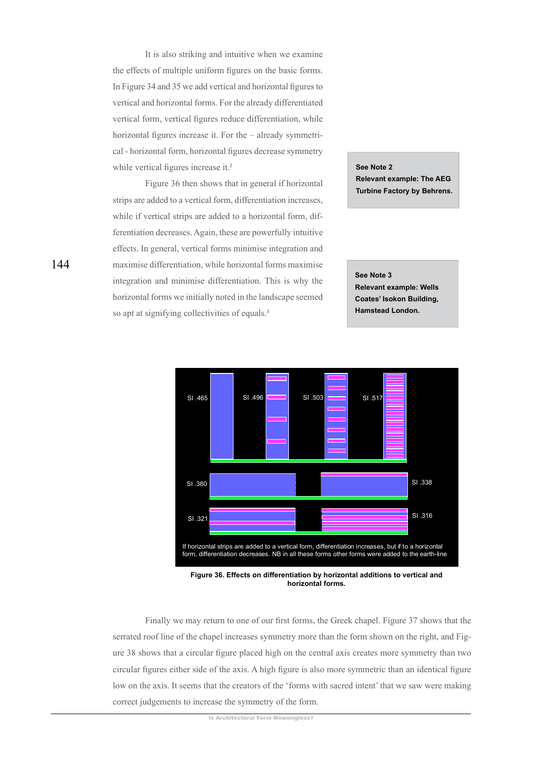It is also striking and intuitive when we examine the effects of multiple uniform figures on the basic forms. In Figure 34 and 35 we add vertical and horizontal figures to vertical and horizontal forms. For the already differentiated vertical form, vertical figures reduce differentiation, while horizontal figures increase it. For the – already symmetrical - horizontal form, horizontal figures decrease symmetry while vertical figures increase it.<sup>2</sup>

Figure 36 then shows that in general if horizontal strips are added to a vertical form, differentiation increases, while if vertical strips are added to a horizontal form, differentiation decreases. Again, these are powerfully intuitive effects. In general, vertical forms minimise integration and maximise differentiation, while horizontal forms maximise integration and minimise differentiation. This is why the horizontal forms we initially noted in the landscape seemed so apt at signifying collectivities of equals.<sup>3</sup>

See Note 2 **Relevant example: The AEG** Turbine Factory by Behrens.

See Note 3 **Relevant example: Wells Coates' Isokon Building, Hamstead London.** 



Figure 36. Effects on differentiation by horizontal additions to vertical and horizontal forms.

Finally we may return to one of our first forms, the Greek chapel. Figure 37 shows that the serrated roof line of the chapel increases symmetry more than the form shown on the right, and Figure 38 shows that a circular figure placed high on the central axis creates more symmetry than two circular figures either side of the axis. A high figure is also more symmetric than an identical figure low on the axis. It seems that the creators of the 'forms with sacred intent' that we saw were making correct judgements to increase the symmetry of the form.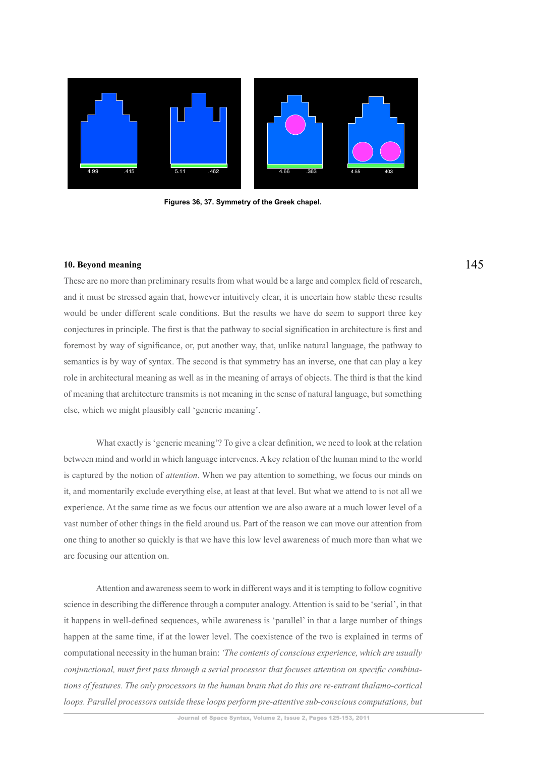

Figures 36, 37. Symmetry of the Greek chapel.

#### **10. Bevond meaning**

These are no more than preliminary results from what would be a large and complex field of research, and it must be stressed again that, however intuitively clear, it is uncertain how stable these results would be under different scale conditions. But the results we have do seem to support three key conjectures in principle. The first is that the pathway to social signification in architecture is first and foremost by way of significance, or, put another way, that, unlike natural language, the pathway to semantics is by way of syntax. The second is that symmetry has an inverse, one that can play a key role in architectural meaning as well as in the meaning of arrays of objects. The third is that the kind of meaning that architecture transmits is not meaning in the sense of natural language, but something else, which we might plausibly call 'generic meaning'.

What exactly is 'generic meaning'? To give a clear definition, we need to look at the relation between mind and world in which language intervenes. A key relation of the human mind to the world is captured by the notion of *attention*. When we pay attention to something, we focus our minds on it, and momentarily exclude everything else, at least at that level. But what we attend to is not all we experience. At the same time as we focus our attention we are also aware at a much lower level of a vast number of other things in the field around us. Part of the reason we can move our attention from one thing to another so quickly is that we have this low level awareness of much more than what we are focusing our attention on.

Attention and awareness seem to work in different ways and it is tempting to follow cognitive science in describing the difference through a computer analogy. Attention is said to be 'serial', in that it happens in well-defined sequences, while awareness is 'parallel' in that a large number of things happen at the same time, if at the lower level. The coexistence of the two is explained in terms of computational necessity in the human brain: 'The contents of conscious experience, which are usually *Coniunctional, must first pass through a serial processor that focuses attention on specific combinations of features. The only processors in the human brain that do this are re-entrant thalamo-cortical loops. Parallel processors outside these loops perform pre-attentive sub-conscious computations, but*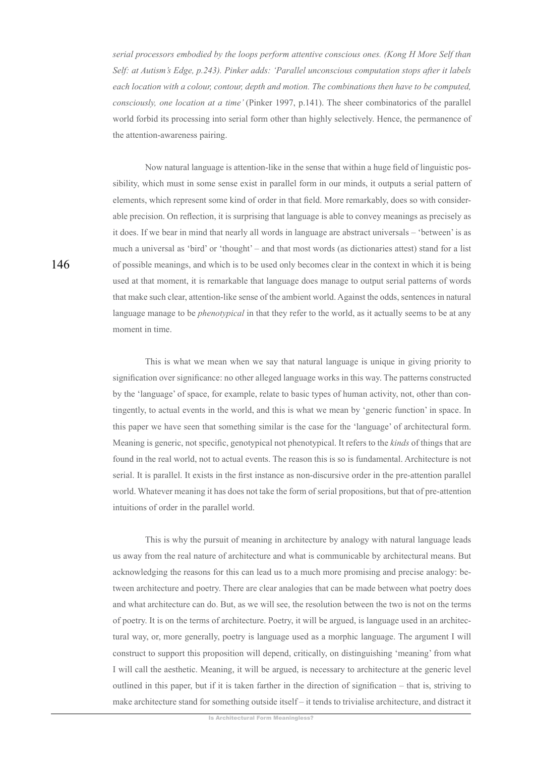serial processors embodied by the loops perform attentive conscious ones. (Kong H More Self than *Self: at Autism's Edge, p.243). Pinker adds: 'Parallel unconscious computation stops after it labels each location with a colour, contour, depth and motion. The combinations then have to be computed, consciously, one location at a time'* (Pinker 1997, p.141). The sheer combinatorics of the parallel world forbid its processing into serial form other than highly selectively. Hence, the permanence of the attention-awareness pairing.

Now natural language is attention-like in the sense that within a huge field of linguistic possibility, which must in some sense exist in parallel form in our minds, it outputs a serial pattern of elements, which represent some kind of order in that field. More remarkably, does so with considerable precision. On reflection, it is surprising that language is able to convey meanings as precisely as it does. If we bear in mind that nearly all words in language are abstract universals – 'between' is as much a universal as 'bird' or 'thought' – and that most words (as dictionaries attest) stand for a list of possible meanings, and which is to be used only becomes clear in the context in which it is being used at that moment, it is remarkable that language does manage to output serial patterns of words that make such clear, attention-like sense of the ambient world. Against the odds, sentences in natural language manage to be *phenotypical* in that they refer to the world, as it actually seems to be at any moment in time.

This is what we mean when we say that natural language is unique in giving priority to signification over significance: no other alleged language works in this way. The patterns constructed by the 'language' of space, for example, relate to basic types of human activity, not, other than contingently, to actual events in the world, and this is what we mean by 'generic function' in space. In this paper we have seen that something similar is the case for the 'language' of architectural form. Meaning is generic, not specific, genotypical not phenotypical. It refers to the *kinds* of things that are found in the real world, not to actual events. The reason this is so is fundamental. Architecture is not serial. It is parallel. It exists in the first instance as non-discursive order in the pre-attention parallel world. Whatever meaning it has does not take the form of serial propositions, but that of pre-attention intuitions of order in the parallel world.

This is why the pursuit of meaning in architecture by analogy with natural language leads us away from the real nature of architecture and what is communicable by architectural means. But acknowledging the reasons for this can lead us to a much more promising and precise analogy: between architecture and poetry. There are clear analogies that can be made between what poetry does and what architecture can do. But, as we will see, the resolution between the two is not on the terms of poetry. It is on the terms of architecture. Poetry, it will be argued, is language used in an architectural way, or, more generally, poetry is language used as a morphic language. The argument I will construct to support this proposition will depend, critically, on distinguishing 'meaning' from what I will call the aesthetic. Meaning, it will be argued, is necessary to architecture at the generic level outlined in this paper, but if it is taken farther in the direction of signification – that is, striving to make architecture stand for something outside itself – it tends to trivialise architecture, and distract it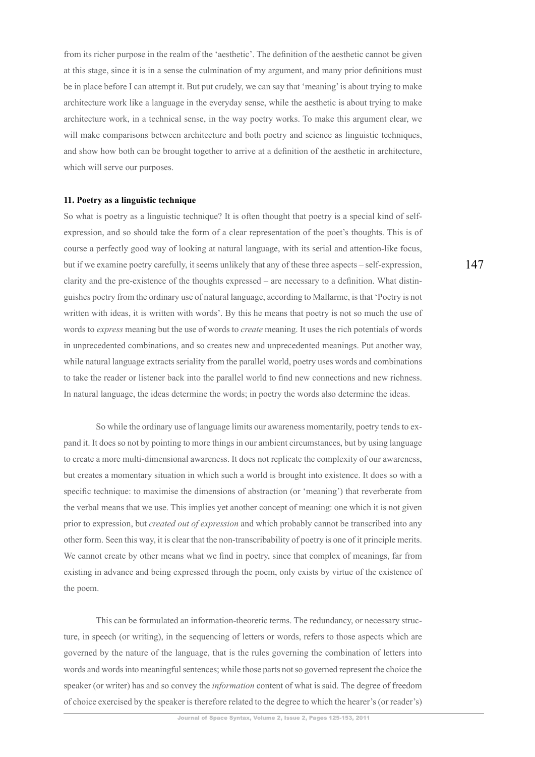from its richer purpose in the realm of the 'aesthetic'. The definition of the aesthetic cannot be given at this stage, since it is in a sense the culmination of my argument, and many prior definitions must be in place before I can attempt it. But put crudely, we can say that 'meaning' is about trying to make architecture work like a language in the everyday sense, while the aesthetic is about trying to make architecture work, in a technical sense, in the way poetry works. To make this argument clear, we will make comparisons between architecture and both poetry and science as linguistic techniques, and show how both can be brought together to arrive at a definition of the aesthetic in architecture, which will serve our purposes.

#### **11. Poetry as a linguistic technique**

So what is poetry as a linguistic technique? It is often thought that poetry is a special kind of selfexpression, and so should take the form of a clear representation of the poet's thoughts. This is of course a perfectly good way of looking at natural language, with its serial and attention-like focus, but if we examine poetry carefully, it seems unlikely that any of these three aspects  $-$  self-expression, clarity and the pre-existence of the thoughts expressed – are necessary to a definition. What distinguishes poetry from the ordinary use of natural language, according to Mallarme, is that 'Poetry is not written with ideas, it is written with words'. By this he means that poetry is not so much the use of words to *express* meaning but the use of words to *create* meaning. It uses the rich potentials of words in unprecedented combinations, and so creates new and unprecedented meanings. Put another way, while natural language extracts seriality from the parallel world, poetry uses words and combinations to take the reader or listener back into the parallel world to find new connections and new richness. In natural language, the ideas determine the words; in poetry the words also determine the ideas.

So while the ordinary use of language limits our awareness momentarily, poetry tends to expand it. It does so not by pointing to more things in our ambient circumstances, but by using language to create a more multi-dimensional awareness. It does not replicate the complexity of our awareness, but creates a momentary situation in which such a world is brought into existence. It does so with a specific technique: to maximise the dimensions of abstraction (or 'meaning') that reverberate from the verbal means that we use. This implies yet another concept of meaning; one which it is not given prior to expression, but *created out of expression* and which probably cannot be transcribed into any other form. Seen this way, it is clear that the non-transcribability of poetry is one of it principle merits. We cannot create by other means what we find in poetry, since that complex of meanings, far from existing in advance and being expressed through the poem, only exists by virtue of the existence of the poem.

This can be formulated an information-theoretic terms. The redundancy, or necessary structure, in speech (or writing), in the sequencing of letters or words, refers to those aspects which are governed by the nature of the language, that is the rules governing the combination of letters into words and words into meaningful sentences; while those parts not so governed represent the choice the speaker (or writer) has and so convey the *information* content of what is said. The degree of freedom of choice exercised by the speaker is therefore related to the degree to which the hearer's (or reader's)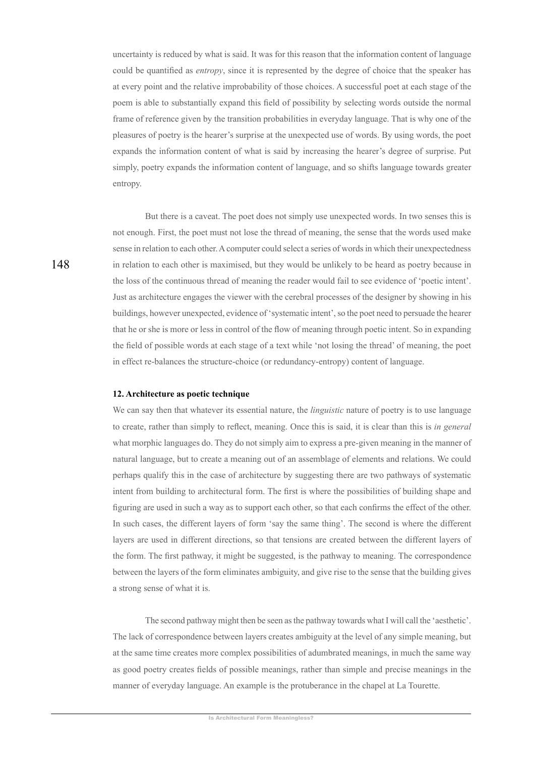uncertainty is reduced by what is said. It was for this reason that the information content of language could be quantified as *entropy*, since it is represented by the degree of choice that the speaker has at every point and the relative improbability of those choices. A successful poet at each stage of the poem is able to substantially expand this field of possibility by selecting words outside the normal frame of reference given by the transition probabilities in everyday language. That is why one of the pleasures of poetry is the hearer's surprise at the unexpected use of words. By using words, the poet expands the information content of what is said by increasing the hearer's degree of surprise. Put simply, poetry expands the information content of language, and so shifts language towards greater entropy.

But there is a caveat. The poet does not simply use unexpected words. In two senses this is not enough. First, the poet must not lose the thread of meaning, the sense that the words used make sense in relation to each other. A computer could select a series of words in which their unexpectedness in relation to each other is maximised, but they would be unlikely to be heard as poetry because in the loss of the continuous thread of meaning the reader would fail to see evidence of 'poetic intent'. Just as architecture engages the viewer with the cerebral processes of the designer by showing in his buildings, however unexpected, evidence of 'systematic intent', so the poet need to persuade the hearer that he or she is more or less in control of the flow of meaning through poetic intent. So in expanding the field of possible words at each stage of a text while 'not losing the thread' of meaning, the poet in effect re-balances the structure-choice (or redundancy-entropy) content of language.

#### 12. Architecture as poetic technique

We can say then that whatever its essential nature, the *linguistic* nature of poetry is to use language to create, rather than simply to reflect, meaning. Once this is said, it is clear than this is in general what morphic languages do. They do not simply aim to express a pre-given meaning in the manner of natural language, but to create a meaning out of an assemblage of elements and relations. We could perhaps qualify this in the case of architecture by suggesting there are two pathways of systematic intent from building to architectural form. The first is where the possibilities of building shape and figuring are used in such a way as to support each other, so that each confirms the effect of the other. In such cases, the different layers of form 'say the same thing'. The second is where the different layers are used in different directions, so that tensions are created between the different layers of the form. The first pathway, it might be suggested, is the pathway to meaning. The correspondence between the layers of the form eliminates ambiguity, and give rise to the sense that the building gives a strong sense of what it is.

The second pathway might then be seen as the pathway towards what I will call the 'aesthetic'. The lack of correspondence between layers creates ambiguity at the level of any simple meaning, but at the same time creates more complex possibilities of adumbrated meanings, in much the same way as good poetry creates fields of possible meanings, rather than simple and precise meanings in the manner of everyday language. An example is the protuberance in the chapel at La Tourette.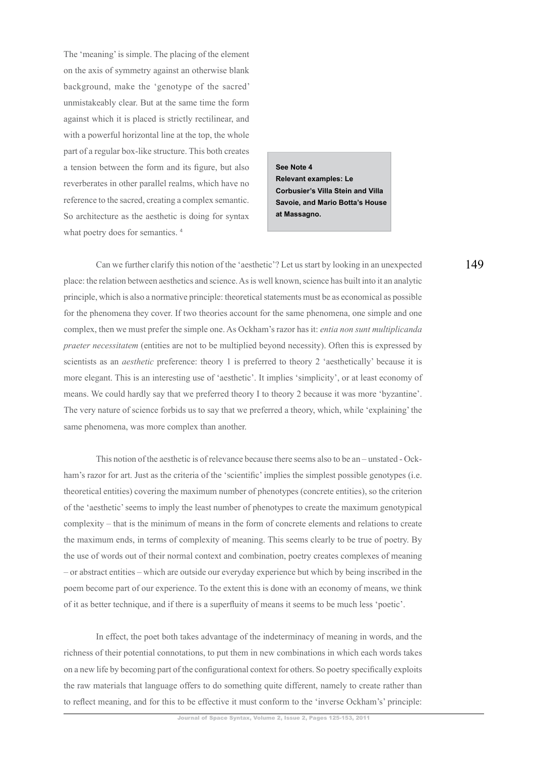The 'meaning' is simple. The placing of the element on the axis of symmetry against an otherwise blank background, make the 'genotype of the sacred' unmistakeably clear. But at the same time the form against which it is placed is strictly rectilinear, and with a powerful horizontal line at the top, the whole part of a regular box-like structure. This both creates a tension between the form and its figure, but also reverberates in other parallel realms, which have no reference to the sacred, creating a complex semantic. So architecture as the aesthetic is doing for syntax what poetry does for semantics.<sup>4</sup>

See Note 4 **Relevant examples: Le Corbusier's Villa Stein and Villa** Savoie, and Mario Botta's House at Massagno.

Can we further clarify this notion of the 'aesthetic'? Let us start by looking in an unexpected place: the relation between aesthetics and science. As is well known, science has built into it an analytic principle, which is also a normative principle: theoretical statements must be as economical as possible for the phenomena they cover. If two theories account for the same phenomena, one simple and one complex, then we must prefer the simple one. As Ockham's razor has it: *entia non sunt multiplicanda praeter necessitatem* (entities are not to be multiplied beyond necessity). Often this is expressed by scientists as an *aesthetic* preference: theory 1 is preferred to theory 2 'aesthetically' because it is more elegant. This is an interesting use of 'aesthetic'. It implies 'simplicity', or at least economy of means. We could hardly say that we preferred theory I to theory 2 because it was more 'byzantine'. The very nature of science forbids us to say that we preferred a theory, which, while 'explaining' the same phenomena, was more complex than another.

This notion of the aesthetic is of relevance because there seems also to be an – unstated - Ockham's razor for art. Just as the criteria of the 'scientific' implies the simplest possible genotypes (i.e. theoretical entities) covering the maximum number of phenotypes (concrete entities), so the criterion of the 'aesthetic' seems to imply the least number of phenotypes to create the maximum genotypical complexity – that is the minimum of means in the form of concrete elements and relations to create the maximum ends, in terms of complexity of meaning. This seems clearly to be true of poetry. By the use of words out of their normal context and combination, poetry creates complexes of meaning - or abstract entities - which are outside our everyday experience but which by being inscribed in the poem become part of our experience. To the extent this is done with an economy of means, we think of it as better technique, and if there is a superfluity of means it seems to be much less 'poetic'.

In effect, the poet both takes advantage of the indeterminacy of meaning in words, and the richness of their potential connotations, to put them in new combinations in which each words takes on a new life by becoming part of the configurational context for others. So poetry specifically exploits the raw materials that language offers to do something quite different, namely to create rather than to reflect meaning, and for this to be effective it must conform to the 'inverse Ockham's' principle: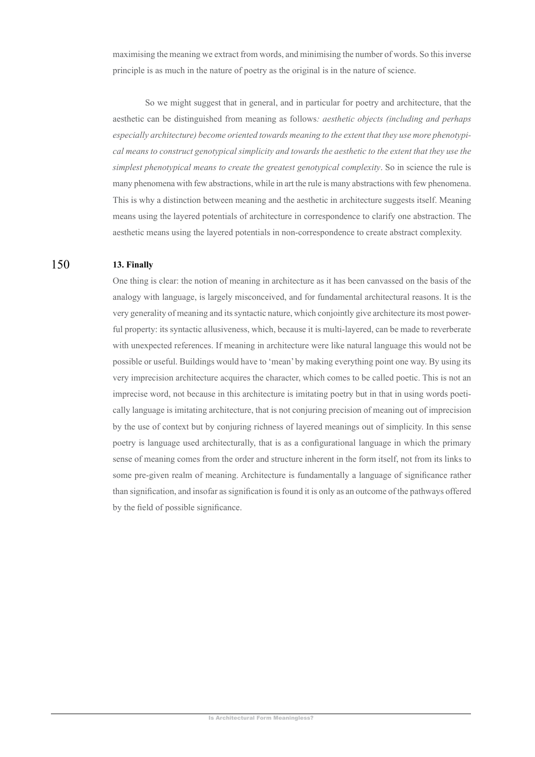maximising the meaning we extract from words, and minimising the number of words. So this inverse principle is as much in the nature of poetry as the original is in the nature of science.

So we might suggest that in general, and in particular for poetry and architecture, that the aesthetic can be distinguished from meaning as follows: *aesthetic objects (including and perhaps*  $e$ specially architecture) become oriented towards meaning to the extent that they use more phenotypi $cal$  means to construct genotypical simplicity and towards the aesthetic to the extent that they use the simplest phenotypical means to create the greatest genotypical complexity. So in science the rule is many phenomena with few abstractions, while in art the rule is many abstractions with few phenomena. This is why a distinction between meaning and the aesthetic in architecture suggests itself. Meaning means using the layered potentials of architecture in correspondence to clarify one abstraction. The aesthetic means using the layered potentials in non-correspondence to create abstract complexity.

#### 13. Finally 150

One thing is clear; the notion of meaning in architecture as it has been canvassed on the basis of the analogy with language, is largely misconceived, and for fundamental architectural reasons. It is the Very generality of meaning and its syntactic nature, which conjointly give architecture its most powerful property: its syntactic allusiveness, which, because it is multi-layered, can be made to reverberate with unexpected references. If meaning in architecture were like natural language this would not be possible or useful. Buildings would have to 'mean' by making everything point one way. By using its very imprecision architecture acquires the character, which comes to be called poetic. This is not an imprecise word, not because in this architecture is imitating poetry but in that in using words poetically language is imitating architecture, that is not conjuring precision of meaning out of imprecision by the use of context but by conjuring richness of layered meanings out of simplicity. In this sense poetry is language used architecturally, that is as a configurational language in which the primary sense of meaning comes from the order and structure inherent in the form itself, not from its links to some pre-given realm of meaning. Architecture is fundamentally a language of significance rather than signification, and insofar as signification is found it is only as an outcome of the pathways offered by the field of possible significance.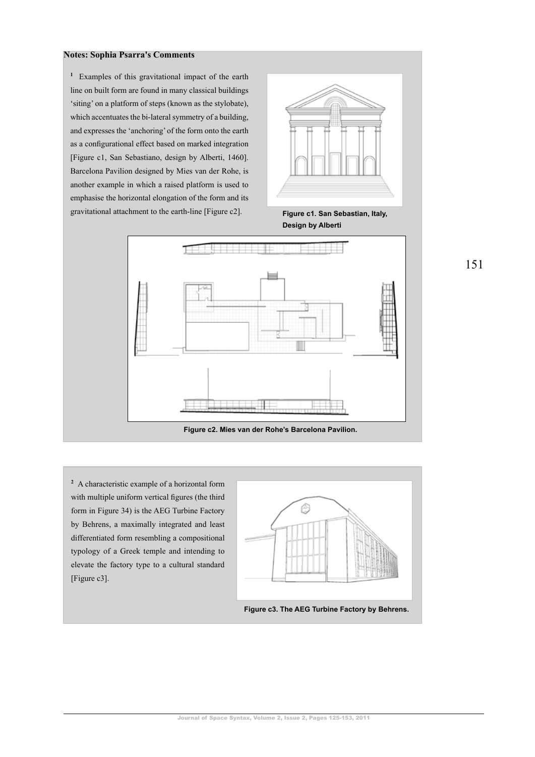### **Notes: Sophia Psarra's Comments**

<sup>1</sup> Examples of this gravitational impact of the earth line on built form are found in many classical buildings 'siting' on a platform of steps (known as the stylobate), which accentuates the bi-lateral symmetry of a building, and expresses the 'anchoring' of the form onto the earth as a configurational effect based on marked integration [Figure c1, San Sebastiano, design by Alberti, 1460]. Barcelona Pavilion designed by Mies van der Rohe, is another example in which a raised platform is used to emphasise the horizontal elongation of the form and its gravitational attachment to the earth-line [Figure c2]. **Figure c1. San Sebastian, Italy,** 



**Design by Alberti** 



<sup>2</sup> A characteristic example of a horizontal form with multiple uniform vertical figures (the third form in Figure 34) is the AEG Turbine Factory by Behrens, a maximally integrated and least differentiated form resembling a compositional typology of a Greek temple and intending to elevate the factory type to a cultural standard [Figure c3].



Figure c3. The AEG Turbine Factory by Behrens.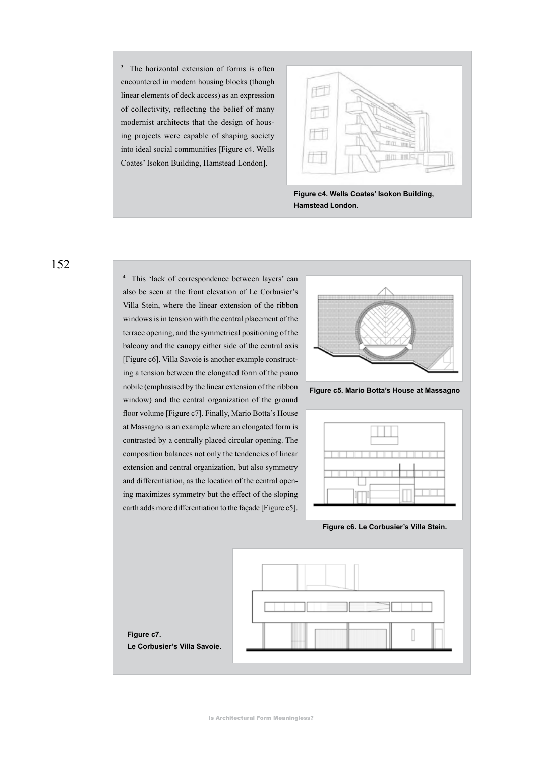<sup>3</sup> The horizontal extension of forms is often encountered in modern housing blocks (though linear elements of deck access) as an expression of collectivity, reflecting the belief of many modernist architects that the design of housing projects were capable of shaping society into ideal social communities [Figure c4. Wells Coates' Isokon Building, Hamstead London].



Figure c4. Wells Coates' Isokon Building, **Hamstead London.** 

152

<sup>4</sup> This 'lack of correspondence between layers' can also be seen at the front elevation of Le Corbusier's Villa Stein, where the linear extension of the ribbon windows is in tension with the central placement of the terrace opening, and the symmetrical positioning of the balcony and the canopy either side of the central axis [Figure c6]. Villa Savoie is another example constructing a tension between the elongated form of the piano nobile (emphasised by the linear extension of the ribbon window) and the central organization of the ground floor volume [Figure c7]. Finally, Mario Botta's House at Massagno is an example where an elongated form is contrasted by a centrally placed circular opening. The composition balances not only the tendencies of linear extension and central organization, but also symmetry and differentiation, as the location of the central opening maximizes symmetry but the effect of the sloping earth adds more differentiation to the facade [Figure c5].



Figure c5. Mario Botta's House at Massagno



Figure c6. Le Corbusier's Villa Stein.